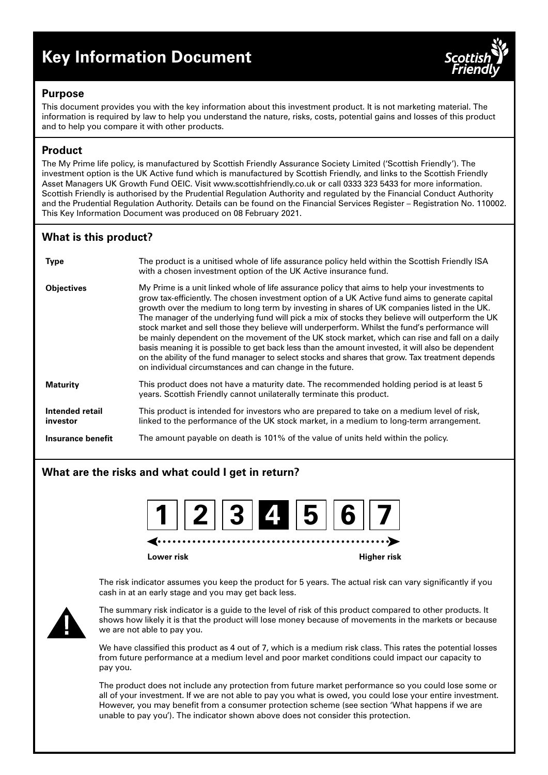# **Key Information Document**



# **Purpose**

This document provides you with the key information about this investment product. It is not marketing material. The information is required by law to help you understand the nature, risks, costs, potential gains and losses of this product and to help you compare it with other products.

# **Product**

The My Prime life policy, is manufactured by Scottish Friendly Assurance Society Limited ('Scottish Friendly'). The investment option is the UK Active fund which is manufactured by Scottish Friendly, and links to the Scottish Friendly Asset Managers UK Growth Fund OEIC. Visit www.scottishfriendly.co.uk or call 0333 323 5433 for more information. Scottish Friendly is authorised by the Prudential Regulation Authority and regulated by the Financial Conduct Authority and the Prudential Regulation Authority. Details can be found on the Financial Services Register – Registration No. 110002. This Key Information Document was produced on 08 February 2021.

# **What is this product?**

| <b>Type</b>                 | The product is a unitised whole of life assurance policy held within the Scottish Friendly ISA<br>with a chosen investment option of the UK Active insurance fund.                                                                                                                                                                                                                                                                                                                                                                                                                                                                                                                                                                                                                                                                                                             |
|-----------------------------|--------------------------------------------------------------------------------------------------------------------------------------------------------------------------------------------------------------------------------------------------------------------------------------------------------------------------------------------------------------------------------------------------------------------------------------------------------------------------------------------------------------------------------------------------------------------------------------------------------------------------------------------------------------------------------------------------------------------------------------------------------------------------------------------------------------------------------------------------------------------------------|
| <b>Objectives</b>           | My Prime is a unit linked whole of life assurance policy that aims to help your investments to<br>grow tax-efficiently. The chosen investment option of a UK Active fund aims to generate capital<br>growth over the medium to long term by investing in shares of UK companies listed in the UK.<br>The manager of the underlying fund will pick a mix of stocks they believe will outperform the UK<br>stock market and sell those they believe will underperform. Whilst the fund's performance will<br>be mainly dependent on the movement of the UK stock market, which can rise and fall on a daily<br>basis meaning it is possible to get back less than the amount invested, it will also be dependent<br>on the ability of the fund manager to select stocks and shares that grow. Tax treatment depends<br>on individual circumstances and can change in the future. |
| <b>Maturity</b>             | This product does not have a maturity date. The recommended holding period is at least 5<br>years. Scottish Friendly cannot unilaterally terminate this product.                                                                                                                                                                                                                                                                                                                                                                                                                                                                                                                                                                                                                                                                                                               |
| Intended retail<br>investor | This product is intended for investors who are prepared to take on a medium level of risk,<br>linked to the performance of the UK stock market, in a medium to long-term arrangement.                                                                                                                                                                                                                                                                                                                                                                                                                                                                                                                                                                                                                                                                                          |
| Insurance benefit           | The amount payable on death is 101% of the value of units held within the policy.                                                                                                                                                                                                                                                                                                                                                                                                                                                                                                                                                                                                                                                                                                                                                                                              |

# **What are the risks and what could I get in return?**

| $\boxed{1}$ $\boxed{2}$ $\boxed{3}$ $\boxed{4}$ $\boxed{5}$ $\boxed{6}$ $\boxed{7}$ |
|-------------------------------------------------------------------------------------|
|-------------------------------------------------------------------------------------|

**Lower risk Higher risk**

The risk indicator assumes you keep the product for 5 years. The actual risk can vary significantly if you cash in at an early stage and you may get back less.



The summary risk indicator is a guide to the level of risk of this product compared to other products. It shows how likely it is that the product will lose money because of movements in the markets or because we are not able to pay you.

We have classified this product as 4 out of 7, which is a medium risk class. This rates the potential losses from future performance at a medium level and poor market conditions could impact our capacity to pay you.

The product does not include any protection from future market performance so you could lose some or all of your investment. If we are not able to pay you what is owed, you could lose your entire investment. However, you may benefit from a consumer protection scheme (see section 'What happens if we are unable to pay you'). The indicator shown above does not consider this protection.